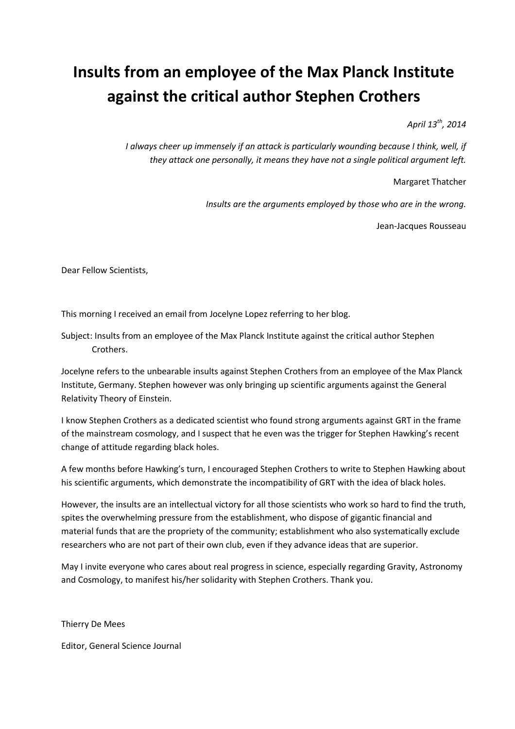## **Insults from an employee of the Max Planck Institute against the critical author Stephen Crothers**

*April 13th, 2014* 

*I always cheer up immensely if an attack is particularly wounding because I think, well, if they attack one personally, it means they have not a single political argument left.* 

Margaret Thatcher

*Insults are the arguments employed by those who are in the wrong.* 

Jean-Jacques Rousseau

Dear Fellow Scientists,

This morning I received an email from Jocelyne Lopez referring to her blog.

Subject: Insults from an employee of the Max Planck Institute against the critical author Stephen Crothers.

Jocelyne refers to the unbearable insults against Stephen Crothers from an employee of the Max Planck Institute, Germany. Stephen however was only bringing up scientific arguments against the General Relativity Theory of Einstein.

I know Stephen Crothers as a dedicated scientist who found strong arguments against GRT in the frame of the mainstream cosmology, and I suspect that he even was the trigger for Stephen Hawking's recent change of attitude regarding black holes.

A few months before Hawking's turn, I encouraged Stephen Crothers to write to Stephen Hawking about his scientific arguments, which demonstrate the incompatibility of GRT with the idea of black holes.

However, the insults are an intellectual victory for all those scientists who work so hard to find the truth, spites the overwhelming pressure from the establishment, who dispose of gigantic financial and material funds that are the propriety of the community; establishment who also systematically exclude researchers who are not part of their own club, even if they advance ideas that are superior.

May I invite everyone who cares about real progress in science, especially regarding Gravity, Astronomy and Cosmology, to manifest his/her solidarity with Stephen Crothers. Thank you.

Thierry De Mees

Editor, General Science Journal